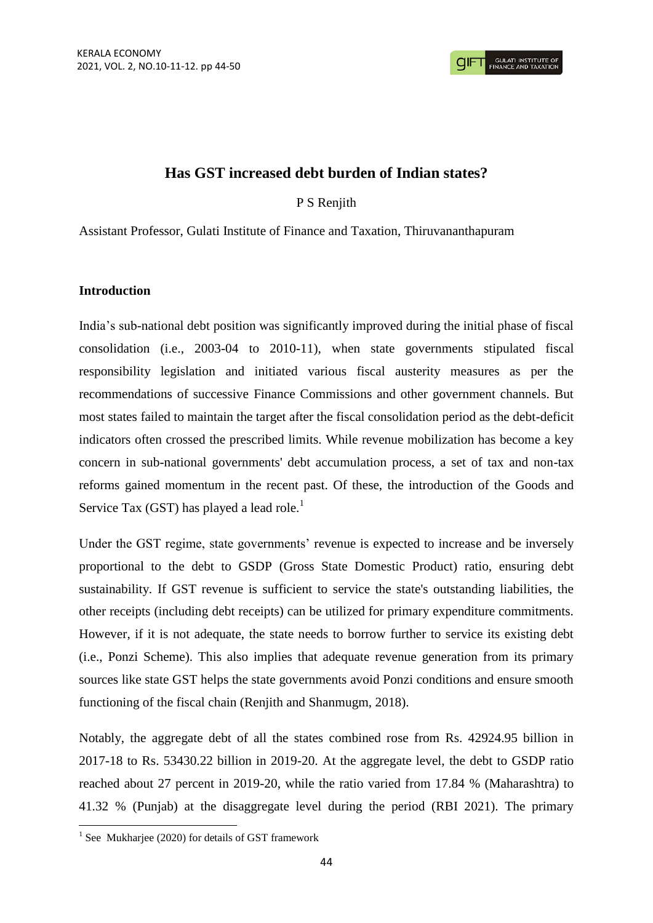# **Has GST increased debt burden of Indian states?**

## P S Renjith

Assistant Professor, Gulati Institute of Finance and Taxation, Thiruvananthapuram

## **Introduction**

India"s sub-national debt position was significantly improved during the initial phase of fiscal consolidation (i.e., 2003-04 to 2010-11), when state governments stipulated fiscal responsibility legislation and initiated various fiscal austerity measures as per the recommendations of successive Finance Commissions and other government channels. But most states failed to maintain the target after the fiscal consolidation period as the debt-deficit indicators often crossed the prescribed limits. While revenue mobilization has become a key concern in sub-national governments' debt accumulation process, a set of tax and non-tax reforms gained momentum in the recent past. Of these, the introduction of the Goods and Service Tax (GST) has played a lead role.<sup>1</sup>

Under the GST regime, state governments' revenue is expected to increase and be inversely proportional to the debt to GSDP (Gross State Domestic Product) ratio, ensuring debt sustainability. If GST revenue is sufficient to service the state's outstanding liabilities, the other receipts (including debt receipts) can be utilized for primary expenditure commitments. However, if it is not adequate, the state needs to borrow further to service its existing debt (i.e., Ponzi Scheme). This also implies that adequate revenue generation from its primary sources like state GST helps the state governments avoid Ponzi conditions and ensure smooth functioning of the fiscal chain (Renjith and Shanmugm, 2018).

Notably, the aggregate debt of all the states combined rose from Rs. 42924.95 billion in 2017-18 to Rs. 53430.22 billion in 2019-20. At the aggregate level, the debt to GSDP ratio reached about 27 percent in 2019-20, while the ratio varied from 17.84 % (Maharashtra) to 41.32 % (Punjab) at the disaggregate level during the period (RBI 2021). The primary

 1 See Mukharjee (2020) for details of GST framework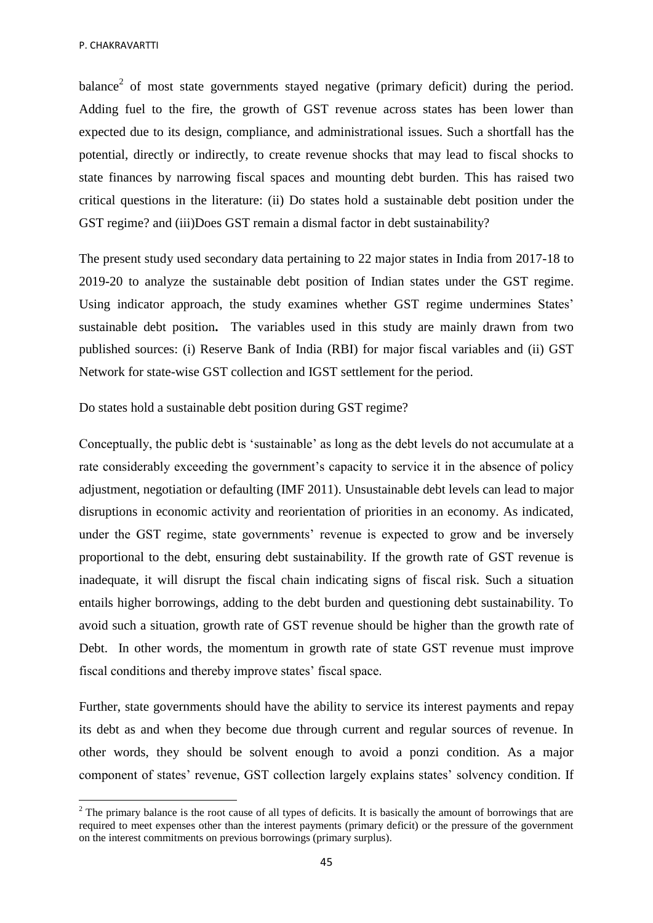$\overline{\phantom{a}}$ 

balance<sup>2</sup> of most state governments stayed negative (primary deficit) during the period. Adding fuel to the fire, the growth of GST revenue across states has been lower than expected due to its design, compliance, and administrational issues. Such a shortfall has the potential, directly or indirectly, to create revenue shocks that may lead to fiscal shocks to state finances by narrowing fiscal spaces and mounting debt burden. This has raised two critical questions in the literature: (ii) Do states hold a sustainable debt position under the GST regime? and (iii)Does GST remain a dismal factor in debt sustainability?

The present study used secondary data pertaining to 22 major states in India from 2017-18 to 2019-20 to analyze the sustainable debt position of Indian states under the GST regime. Using indicator approach, the study examines whether GST regime undermines States' sustainable debt position**.** The variables used in this study are mainly drawn from two published sources: (i) Reserve Bank of India (RBI) for major fiscal variables and (ii) GST Network for state-wise GST collection and IGST settlement for the period.

Do states hold a sustainable debt position during GST regime?

Conceptually, the public debt is "sustainable" as long as the debt levels do not accumulate at a rate considerably exceeding the government's capacity to service it in the absence of policy adjustment, negotiation or defaulting (IMF 2011). Unsustainable debt levels can lead to major disruptions in economic activity and reorientation of priorities in an economy. As indicated, under the GST regime, state governments' revenue is expected to grow and be inversely proportional to the debt, ensuring debt sustainability. If the growth rate of GST revenue is inadequate, it will disrupt the fiscal chain indicating signs of fiscal risk. Such a situation entails higher borrowings, adding to the debt burden and questioning debt sustainability. To avoid such a situation, growth rate of GST revenue should be higher than the growth rate of Debt. In other words, the momentum in growth rate of state GST revenue must improve fiscal conditions and thereby improve states' fiscal space.

Further, state governments should have the ability to service its interest payments and repay its debt as and when they become due through current and regular sources of revenue. In other words, they should be solvent enough to avoid a ponzi condition. As a major component of states" revenue, GST collection largely explains states" solvency condition. If

<sup>&</sup>lt;sup>2</sup> The primary balance is the root cause of all types of deficits. It is basically the amount of borrowings that are required to meet expenses other than the interest payments (primary deficit) or the pressure of the government on the interest commitments on previous borrowings (primary surplus).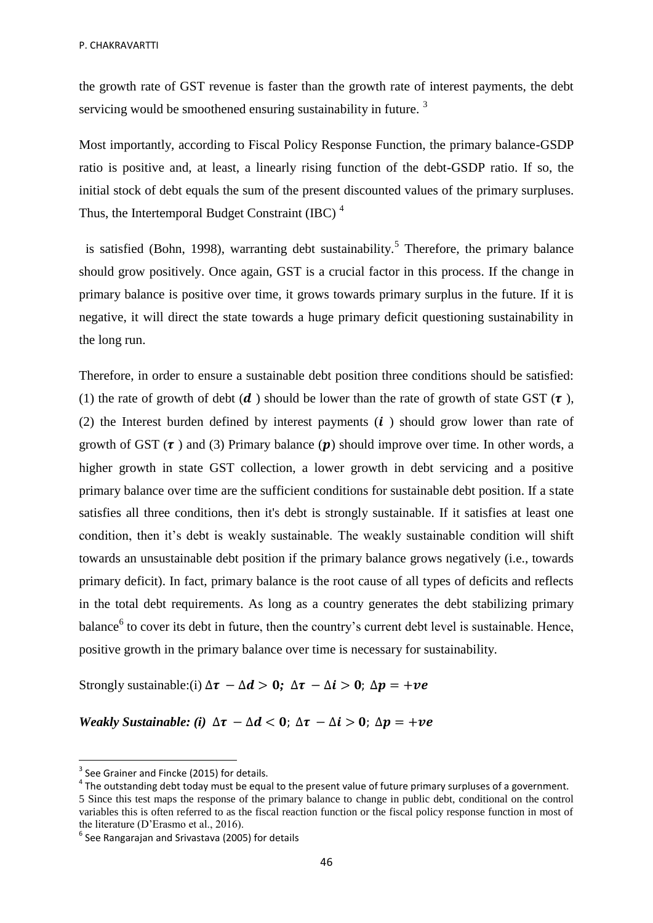the growth rate of GST revenue is faster than the growth rate of interest payments, the debt servicing would be smoothened ensuring sustainability in future.<sup>3</sup>

Most importantly, according to Fiscal Policy Response Function, the primary balance-GSDP ratio is positive and, at least, a linearly rising function of the debt-GSDP ratio. If so, the initial stock of debt equals the sum of the present discounted values of the primary surpluses. Thus, the Intertemporal Budget Constraint (IBC)<sup>4</sup>

is satisfied (Bohn, 1998), warranting debt sustainability.<sup>5</sup> Therefore, the primary balance should grow positively. Once again, GST is a crucial factor in this process. If the change in primary balance is positive over time, it grows towards primary surplus in the future. If it is negative, it will direct the state towards a huge primary deficit questioning sustainability in the long run.

Therefore, in order to ensure a sustainable debt position three conditions should be satisfied: (1) the rate of growth of debt ( $d$ ) should be lower than the rate of growth of state GST ( $\tau$ ), (2) the Interest burden defined by interest payments  $(i)$  should grow lower than rate of growth of GST  $(\tau)$  and (3) Primary balance (p) should improve over time. In other words, a higher growth in state GST collection, a lower growth in debt servicing and a positive primary balance over time are the sufficient conditions for sustainable debt position. If a state satisfies all three conditions, then it's debt is strongly sustainable. If it satisfies at least one condition, then it's debt is weakly sustainable. The weakly sustainable condition will shift towards an unsustainable debt position if the primary balance grows negatively (i.e., towards primary deficit). In fact, primary balance is the root cause of all types of deficits and reflects in the total debt requirements. As long as a country generates the debt stabilizing primary balance<sup>6</sup> to cover its debt in future, then the country's current debt level is sustainable. Hence, positive growth in the primary balance over time is necessary for sustainability.

Strongly sustainable:(i)  $\Delta \tau - \Delta d > 0$ ;  $\Delta \tau - \Delta i > 0$ ;  $\Delta p = +\nu e$ 

*Weakly Sustainable: (i)*  $\Delta \tau - \Delta d < 0$ ;  $\Delta \tau - \Delta i > 0$ ;  $\Delta p = +ve$ 

**.** 

 $^4$  The outstanding debt today must be equal to the present value of future primary surpluses of a government. 5 Since this test maps the response of the primary balance to change in public debt, conditional on the control variables this is often referred to as the fiscal reaction function or the fiscal policy response function in most of the literature (D"Erasmo et al., 2016).

 $3$  See Grainer and Fincke (2015) for details.

 $<sup>6</sup>$  See Rangarajan and Srivastava (2005) for details</sup>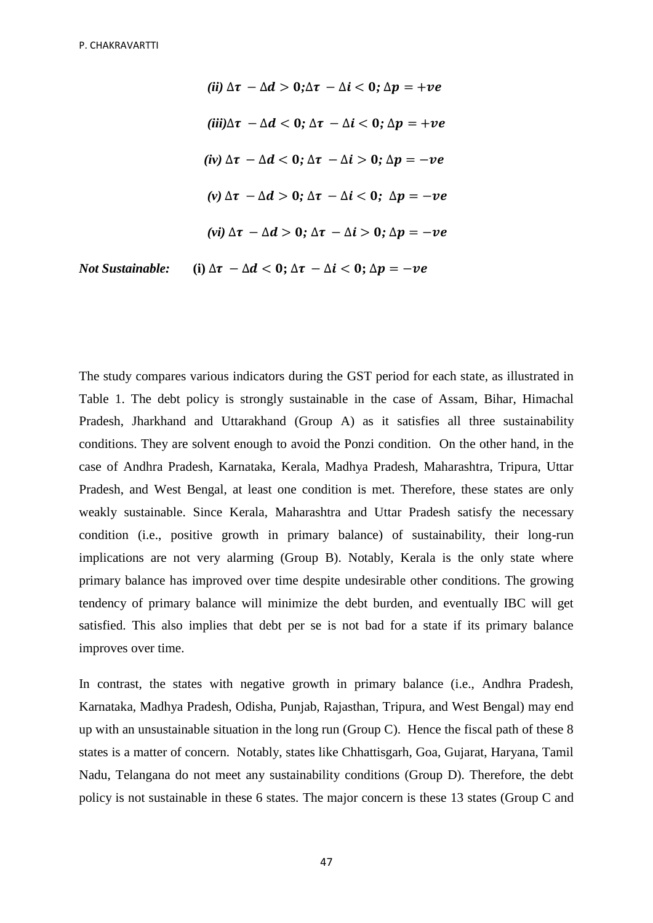*(ii)*  $\Delta \tau - \Delta d > 0$ ;  $\Delta \tau - \Delta i < 0$ ;  $\Delta p = +ve$  $(iii)\Delta\tau - \Delta d < 0$ ;  $\Delta\tau - \Delta i < 0$ ;  $\Delta p = +ve$ *(iv)*  $\Delta \tau - \Delta d < 0$ ;  $\Delta \tau - \Delta i > 0$ ;  $\Delta p = -ve$  $(v)$   $\Delta \tau - \Delta d > 0$ ;  $\Delta \tau - \Delta i < 0$ ;  $\Delta p = -ve$ *(vi)*  $\Delta \tau - \Delta d > 0$ ;  $\Delta \tau - \Delta i > 0$ ;  $\Delta p = -ve$ *Not Sustainable:* (i)  $\Delta \tau - \Delta d < 0$ ;  $\Delta \tau - \Delta i < 0$ ;  $\Delta p = -ve$ 

The study compares various indicators during the GST period for each state, as illustrated in Table 1. The debt policy is strongly sustainable in the case of Assam, Bihar, Himachal Pradesh, Jharkhand and Uttarakhand (Group A) as it satisfies all three sustainability conditions. They are solvent enough to avoid the Ponzi condition. On the other hand, in the case of Andhra Pradesh, Karnataka, Kerala, Madhya Pradesh, Maharashtra, Tripura, Uttar Pradesh, and West Bengal, at least one condition is met. Therefore, these states are only weakly sustainable. Since Kerala, Maharashtra and Uttar Pradesh satisfy the necessary condition (i.e., positive growth in primary balance) of sustainability, their long-run implications are not very alarming (Group B). Notably, Kerala is the only state where primary balance has improved over time despite undesirable other conditions. The growing tendency of primary balance will minimize the debt burden, and eventually IBC will get satisfied. This also implies that debt per se is not bad for a state if its primary balance improves over time.

In contrast, the states with negative growth in primary balance (i.e., Andhra Pradesh, Karnataka, Madhya Pradesh, Odisha, Punjab, Rajasthan, Tripura, and West Bengal) may end up with an unsustainable situation in the long run (Group C). Hence the fiscal path of these 8 states is a matter of concern. Notably, states like Chhattisgarh, Goa, Gujarat, Haryana, Tamil Nadu, Telangana do not meet any sustainability conditions (Group D). Therefore, the debt policy is not sustainable in these 6 states. The major concern is these 13 states (Group C and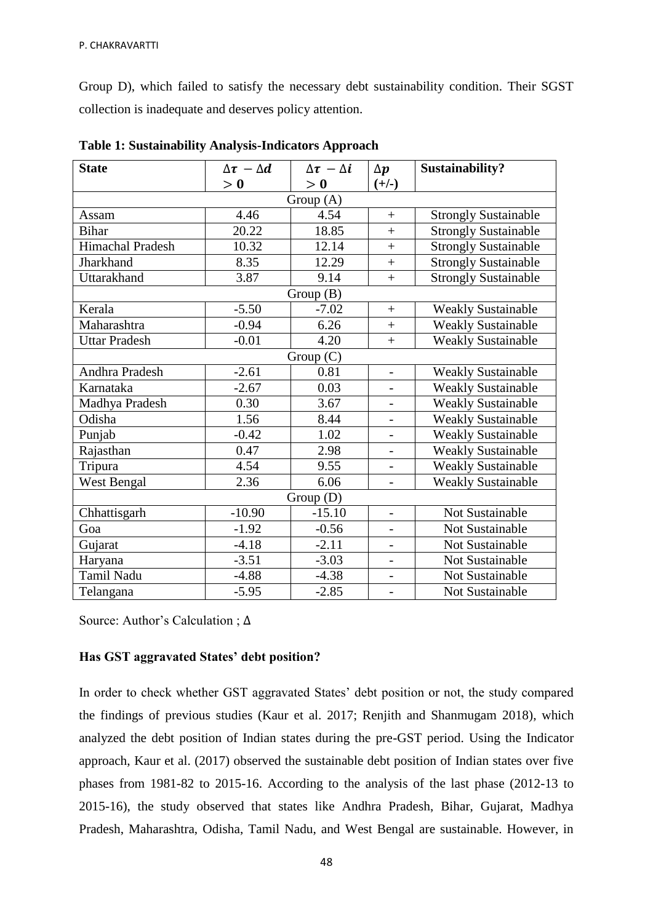Group D), which failed to satisfy the necessary debt sustainability condition. Their SGST collection is inadequate and deserves policy attention.

| <b>State</b>         | $\Delta \tau - \Delta d$ | $\Delta \tau - \Delta i$ | $\Delta p$               | Sustainability?             |
|----------------------|--------------------------|--------------------------|--------------------------|-----------------------------|
|                      | > 0                      | > 0                      | $(+/-)$                  |                             |
| Group (A)            |                          |                          |                          |                             |
| Assam                | 4.46                     | 4.54                     | $+$                      | <b>Strongly Sustainable</b> |
| <b>Bihar</b>         | 20.22                    | 18.85                    | $\ddot{}$                | <b>Strongly Sustainable</b> |
| Himachal Pradesh     | 10.32                    | 12.14                    | $^{+}$                   | <b>Strongly Sustainable</b> |
| Jharkhand            | 8.35                     | 12.29                    | $+$                      | <b>Strongly Sustainable</b> |
| Uttarakhand          | 3.87                     | 9.14                     | $\ddot{}$                | <b>Strongly Sustainable</b> |
| Group(B)             |                          |                          |                          |                             |
| Kerala               | $-5.50$                  | $-7.02$                  | $^{+}$                   | <b>Weakly Sustainable</b>   |
| Maharashtra          | $-0.94$                  | 6.26                     | $+$                      | <b>Weakly Sustainable</b>   |
| <b>Uttar Pradesh</b> | $-0.01$                  | 4.20                     | $+$                      | <b>Weakly Sustainable</b>   |
| Group(C)             |                          |                          |                          |                             |
| Andhra Pradesh       | $-2.61$                  | 0.81                     | $\overline{a}$           | <b>Weakly Sustainable</b>   |
| Karnataka            | $-2.67$                  | 0.03                     | $\overline{a}$           | <b>Weakly Sustainable</b>   |
| Madhya Pradesh       | 0.30                     | 3.67                     | $\overline{a}$           | <b>Weakly Sustainable</b>   |
| Odisha               | 1.56                     | 8.44                     | $\overline{\phantom{0}}$ | <b>Weakly Sustainable</b>   |
| Punjab               | $-0.42$                  | 1.02                     | $\overline{a}$           | <b>Weakly Sustainable</b>   |
| Rajasthan            | 0.47                     | 2.98                     | $\overline{a}$           | <b>Weakly Sustainable</b>   |
| Tripura              | 4.54                     | 9.55                     | $\frac{1}{2}$            | <b>Weakly Sustainable</b>   |
| <b>West Bengal</b>   | 2.36                     | 6.06                     | $\overline{a}$           | <b>Weakly Sustainable</b>   |
| Group (D)            |                          |                          |                          |                             |
| Chhattisgarh         | $-10.90$                 | $-15.10$                 | $\overline{\phantom{a}}$ | Not Sustainable             |
| Goa                  | $-1.92$                  | $-0.56$                  | $\qquad \qquad -$        | Not Sustainable             |
| Gujarat              | $-4.18$                  | $-2.11$                  | $\overline{\phantom{0}}$ | Not Sustainable             |
| Haryana              | $-3.51$                  | $-3.03$                  | $\overline{\phantom{m}}$ | Not Sustainable             |
| <b>Tamil Nadu</b>    | $-4.88$                  | $-4.38$                  | $\qquad \qquad -$        | Not Sustainable             |
| Telangana            | $-5.95$                  | $-2.85$                  | $\overline{\phantom{a}}$ | Not Sustainable             |

**Table 1: Sustainability Analysis-Indicators Approach**

Source: Author's Calculation ;  $\Delta$ 

## **Has GST aggravated States' debt position?**

In order to check whether GST aggravated States" debt position or not, the study compared the findings of previous studies (Kaur et al. 2017; Renjith and Shanmugam 2018), which analyzed the debt position of Indian states during the pre-GST period. Using the Indicator approach, Kaur et al. (2017) observed the sustainable debt position of Indian states over five phases from 1981-82 to 2015-16. According to the analysis of the last phase (2012-13 to 2015-16), the study observed that states like Andhra Pradesh, Bihar, Gujarat, Madhya Pradesh, Maharashtra, Odisha, Tamil Nadu, and West Bengal are sustainable. However, in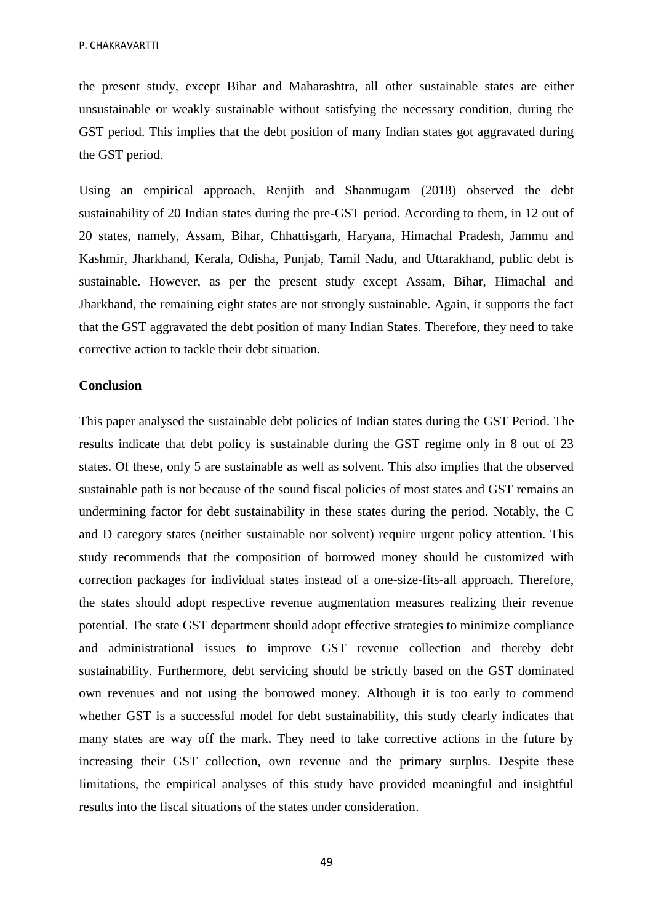the present study, except Bihar and Maharashtra, all other sustainable states are either unsustainable or weakly sustainable without satisfying the necessary condition, during the GST period. This implies that the debt position of many Indian states got aggravated during the GST period.

Using an empirical approach, Renjith and Shanmugam (2018) observed the debt sustainability of 20 Indian states during the pre-GST period. According to them, in 12 out of 20 states, namely, Assam, Bihar, Chhattisgarh, Haryana, Himachal Pradesh, Jammu and Kashmir, Jharkhand, Kerala, Odisha, Punjab, Tamil Nadu, and Uttarakhand, public debt is sustainable. However, as per the present study except Assam, Bihar, Himachal and Jharkhand, the remaining eight states are not strongly sustainable. Again, it supports the fact that the GST aggravated the debt position of many Indian States. Therefore, they need to take corrective action to tackle their debt situation.

#### **Conclusion**

This paper analysed the sustainable debt policies of Indian states during the GST Period. The results indicate that debt policy is sustainable during the GST regime only in 8 out of 23 states. Of these, only 5 are sustainable as well as solvent. This also implies that the observed sustainable path is not because of the sound fiscal policies of most states and GST remains an undermining factor for debt sustainability in these states during the period. Notably, the C and D category states (neither sustainable nor solvent) require urgent policy attention. This study recommends that the composition of borrowed money should be customized with correction packages for individual states instead of a one-size-fits-all approach. Therefore, the states should adopt respective revenue augmentation measures realizing their revenue potential. The state GST department should adopt effective strategies to minimize compliance and administrational issues to improve GST revenue collection and thereby debt sustainability. Furthermore, debt servicing should be strictly based on the GST dominated own revenues and not using the borrowed money. Although it is too early to commend whether GST is a successful model for debt sustainability, this study clearly indicates that many states are way off the mark. They need to take corrective actions in the future by increasing their GST collection, own revenue and the primary surplus. Despite these limitations, the empirical analyses of this study have provided meaningful and insightful results into the fiscal situations of the states under consideration.